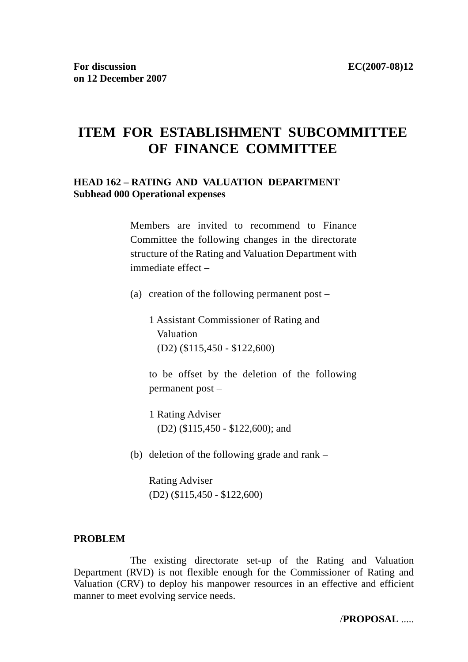# **ITEM FOR ESTABLISHMENT SUBCOMMITTEE OF FINANCE COMMITTEE**

#### **HEAD 162 – RATING AND VALUATION DEPARTMENT Subhead 000 Operational expenses**

Members are invited to recommend to Finance Committee the following changes in the directorate structure of the Rating and Valuation Department with immediate effect –

(a) creation of the following permanent post –

 1 Assistant Commissioner of Rating and Valuation (D2) (\$115,450 - \$122,600)

 to be offset by the deletion of the following permanent post –

1 Rating Adviser (D2) (\$115,450 - \$122,600); and

(b) deletion of the following grade and rank –

 Rating Adviser (D2) (\$115,450 - \$122,600)

#### **PROBLEM**

 The existing directorate set-up of the Rating and Valuation Department (RVD) is not flexible enough for the Commissioner of Rating and Valuation (CRV) to deploy his manpower resources in an effective and efficient manner to meet evolving service needs.

/**PROPOSAL** .....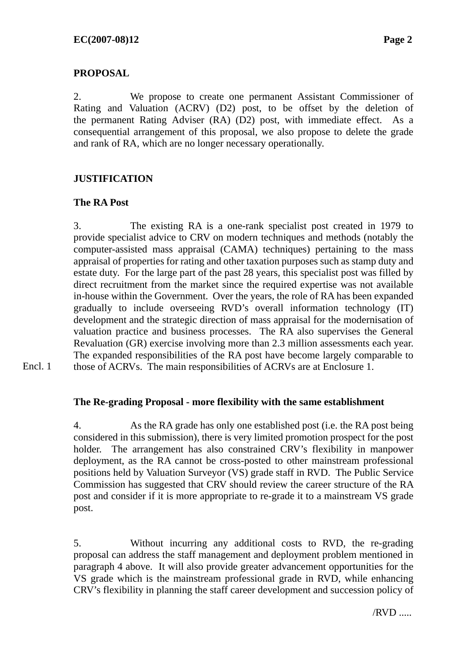# **PROPOSAL**

2. We propose to create one permanent Assistant Commissioner of Rating and Valuation (ACRV) (D2) post, to be offset by the deletion of the permanent Rating Adviser (RA) (D2) post, with immediate effect. As a consequential arrangement of this proposal, we also propose to delete the grade and rank of RA, which are no longer necessary operationally.

# **JUSTIFICATION**

# **The RA Post**

3. The existing RA is a one-rank specialist post created in 1979 to provide specialist advice to CRV on modern techniques and methods (notably the computer-assisted mass appraisal (CAMA) techniques) pertaining to the mass appraisal of properties for rating and other taxation purposes such as stamp duty and estate duty. For the large part of the past 28 years, this specialist post was filled by direct recruitment from the market since the required expertise was not available in-house within the Government. Over the years, the role of RA has been expanded gradually to include overseeing RVD's overall information technology (IT) development and the strategic direction of mass appraisal for the modernisation of valuation practice and business processes. The RA also supervises the General Revaluation (GR) exercise involving more than 2.3 million assessments each year. The expanded responsibilities of the RA post have become largely comparable to those of ACRVs. The main responsibilities of ACRVs are at Enclosure 1.

Encl. 1

# **The Re-grading Proposal - more flexibility with the same establishment**

4. As the RA grade has only one established post (i.e. the RA post being considered in this submission), there is very limited promotion prospect for the post holder. The arrangement has also constrained CRV's flexibility in manpower deployment, as the RA cannot be cross-posted to other mainstream professional positions held by Valuation Surveyor (VS) grade staff in RVD. The Public Service Commission has suggested that CRV should review the career structure of the RA post and consider if it is more appropriate to re-grade it to a mainstream VS grade post.

5. Without incurring any additional costs to RVD, the re-grading proposal can address the staff management and deployment problem mentioned in paragraph 4 above. It will also provide greater advancement opportunities for the VS grade which is the mainstream professional grade in RVD, while enhancing CRV's flexibility in planning the staff career development and succession policy of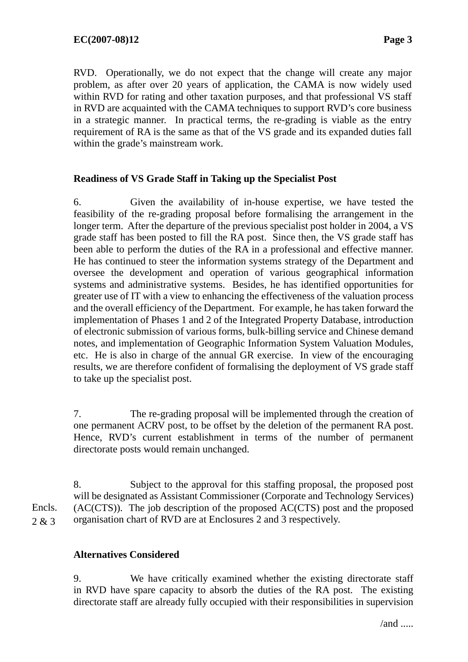RVD. Operationally, we do not expect that the change will create any major problem, as after over 20 years of application, the CAMA is now widely used within RVD for rating and other taxation purposes, and that professional VS staff in RVD are acquainted with the CAMA techniques to support RVD's core business in a strategic manner. In practical terms, the re-grading is viable as the entry requirement of RA is the same as that of the VS grade and its expanded duties fall within the grade's mainstream work.

### **Readiness of VS Grade Staff in Taking up the Specialist Post**

6. Given the availability of in-house expertise, we have tested the feasibility of the re-grading proposal before formalising the arrangement in the longer term. After the departure of the previous specialist post holder in 2004, a VS grade staff has been posted to fill the RA post. Since then, the VS grade staff has been able to perform the duties of the RA in a professional and effective manner. He has continued to steer the information systems strategy of the Department and oversee the development and operation of various geographical information systems and administrative systems. Besides, he has identified opportunities for greater use of IT with a view to enhancing the effectiveness of the valuation process and the overall efficiency of the Department. For example, he has taken forward the implementation of Phases 1 and 2 of the Integrated Property Database, introduction of electronic submission of various forms, bulk-billing service and Chinese demand notes, and implementation of Geographic Information System Valuation Modules, etc. He is also in charge of the annual GR exercise. In view of the encouraging results, we are therefore confident of formalising the deployment of VS grade staff to take up the specialist post.

7. The re-grading proposal will be implemented through the creation of one permanent ACRV post, to be offset by the deletion of the permanent RA post. Hence, RVD's current establishment in terms of the number of permanent directorate posts would remain unchanged.

8. Subject to the approval for this staffing proposal, the proposed post will be designated as Assistant Commissioner (Corporate and Technology Services) (AC(CTS)). The job description of the proposed AC(CTS) post and the proposed organisation chart of RVD are at Enclosures 2 and 3 respectively. Encls. 2 & 3

### **Alternatives Considered**

9. We have critically examined whether the existing directorate staff in RVD have spare capacity to absorb the duties of the RA post. The existing directorate staff are already fully occupied with their responsibilities in supervision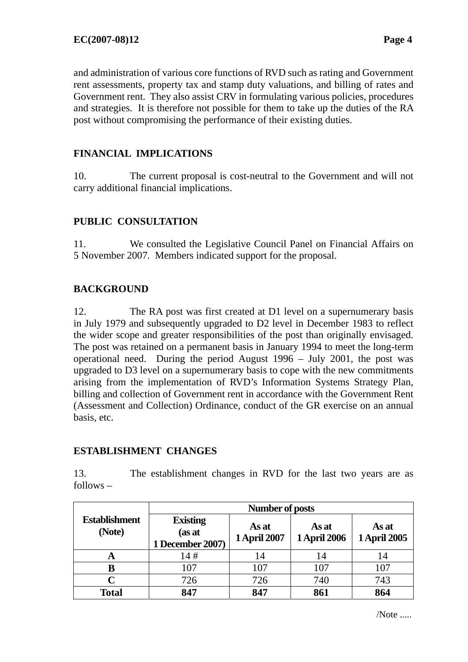and administration of various core functions of RVD such as rating and Government rent assessments, property tax and stamp duty valuations, and billing of rates and Government rent. They also assist CRV in formulating various policies, procedures and strategies. It is therefore not possible for them to take up the duties of the RA post without compromising the performance of their existing duties.

# **FINANCIAL IMPLICATIONS**

10. The current proposal is cost-neutral to the Government and will not carry additional financial implications.

# **PUBLIC CONSULTATION**

11. We consulted the Legislative Council Panel on Financial Affairs on 5 November 2007. Members indicated support for the proposal.

# **BACKGROUND**

12. The RA post was first created at D1 level on a supernumerary basis in July 1979 and subsequently upgraded to D2 level in December 1983 to reflect the wider scope and greater responsibilities of the post than originally envisaged. The post was retained on a permanent basis in January 1994 to meet the long-term operational need. During the period August 1996 – July 2001, the post was upgraded to D3 level on a supernumerary basis to cope with the new commitments arising from the implementation of RVD's Information Systems Strategy Plan, billing and collection of Government rent in accordance with the Government Rent (Assessment and Collection) Ordinance, conduct of the GR exercise on an annual basis, etc.

### **ESTABLISHMENT CHANGES**

13. The establishment changes in RVD for the last two years are as follows –

|                                | Number of posts                               |                              |                              |                              |
|--------------------------------|-----------------------------------------------|------------------------------|------------------------------|------------------------------|
| <b>Establishment</b><br>(Note) | <b>Existing</b><br>(as at<br>1 December 2007) | As at<br><b>1 April 2007</b> | As at<br><b>1 April 2006</b> | As at<br><b>1 April 2005</b> |
| A                              | 14#                                           | 14                           | 14                           | 14                           |
| B                              | 107                                           | 107                          | 107                          | 107                          |
| C                              | 726                                           | 726                          | 740                          | 743                          |
| <b>Total</b>                   | 847                                           | 847                          | 861                          | 864                          |

/Note .....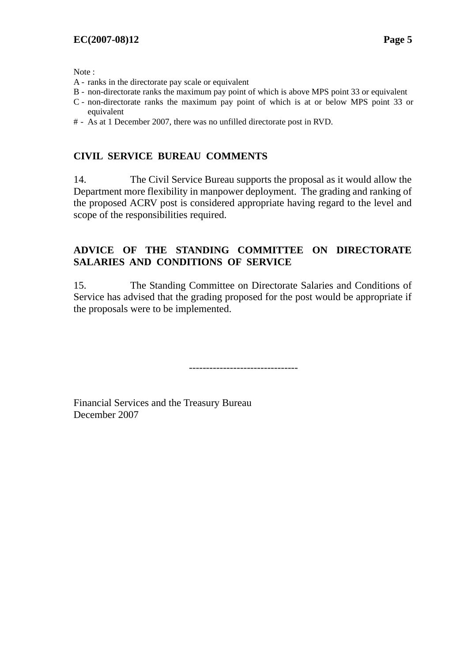Note :

- A ranks in the directorate pay scale or equivalent
- B non-directorate ranks the maximum pay point of which is above MPS point 33 or equivalent
- C non-directorate ranks the maximum pay point of which is at or below MPS point 33 or equivalent
- # As at 1 December 2007, there was no unfilled directorate post in RVD.

# **CIVIL SERVICE BUREAU COMMENTS**

14. The Civil Service Bureau supports the proposal as it would allow the Department more flexibility in manpower deployment. The grading and ranking of the proposed ACRV post is considered appropriate having regard to the level and scope of the responsibilities required.

## **ADVICE OF THE STANDING COMMITTEE ON DIRECTORATE SALARIES AND CONDITIONS OF SERVICE**

15. The Standing Committee on Directorate Salaries and Conditions of Service has advised that the grading proposed for the post would be appropriate if the proposals were to be implemented.

--------------------------------

Financial Services and the Treasury Bureau December 2007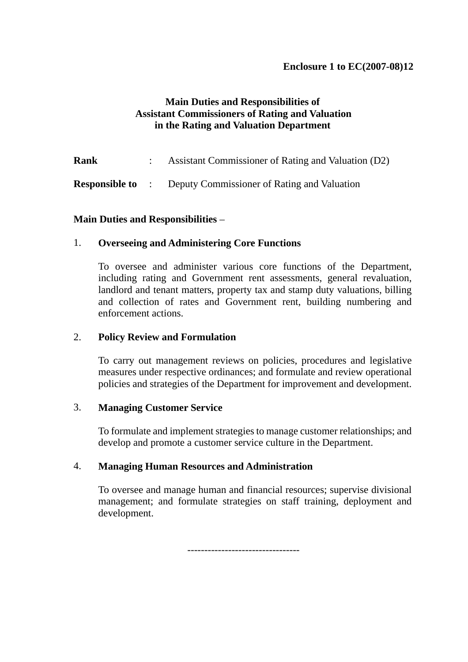# **Main Duties and Responsibilities of Assistant Commissioners of Rating and Valuation in the Rating and Valuation Department**

**Rank** : Assistant Commissioner of Rating and Valuation (D2)

**Responsible to** : Deputy Commissioner of Rating and Valuation

### **Main Duties and Responsibilities** –

### 1. **Overseeing and Administering Core Functions**

To oversee and administer various core functions of the Department, including rating and Government rent assessments, general revaluation, landlord and tenant matters, property tax and stamp duty valuations, billing and collection of rates and Government rent, building numbering and enforcement actions.

#### 2. **Policy Review and Formulation**

To carry out management reviews on policies, procedures and legislative measures under respective ordinances; and formulate and review operational policies and strategies of the Department for improvement and development.

### 3. **Managing Customer Service**

To formulate and implement strategies to manage customer relationships; and develop and promote a customer service culture in the Department.

### 4. **Managing Human Resources and Administration**

To oversee and manage human and financial resources; supervise divisional management; and formulate strategies on staff training, deployment and development.

---------------------------------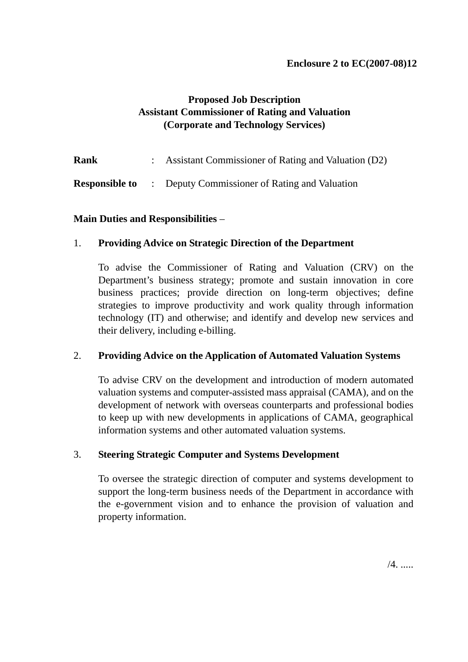# **Proposed Job Description Assistant Commissioner of Rating and Valuation (Corporate and Technology Services)**

**Rank** : Assistant Commissioner of Rating and Valuation (D2)

**Responsible to** : Deputy Commissioner of Rating and Valuation

# **Main Duties and Responsibilities** –

# 1. **Providing Advice on Strategic Direction of the Department**

 To advise the Commissioner of Rating and Valuation (CRV) on the Department's business strategy; promote and sustain innovation in core business practices; provide direction on long-term objectives; define strategies to improve productivity and work quality through information technology (IT) and otherwise; and identify and develop new services and their delivery, including e-billing.

### 2. **Providing Advice on the Application of Automated Valuation Systems**

 To advise CRV on the development and introduction of modern automated valuation systems and computer-assisted mass appraisal (CAMA), and on the development of network with overseas counterparts and professional bodies to keep up with new developments in applications of CAMA, geographical information systems and other automated valuation systems.

### 3. **Steering Strategic Computer and Systems Development**

 To oversee the strategic direction of computer and systems development to support the long-term business needs of the Department in accordance with the e-government vision and to enhance the provision of valuation and property information.

/4. .....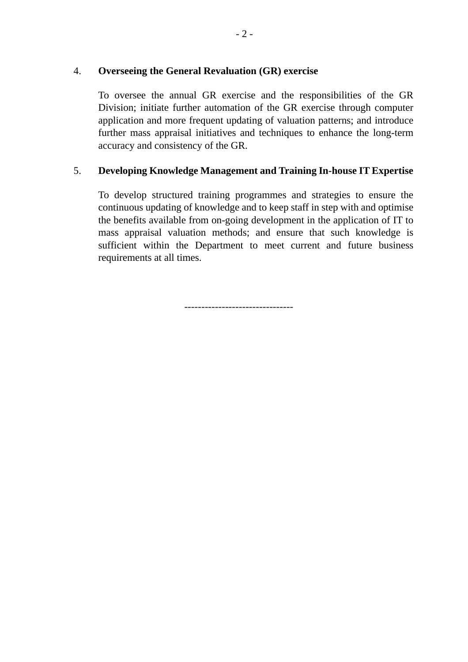#### 4. **Overseeing the General Revaluation (GR) exercise**

 To oversee the annual GR exercise and the responsibilities of the GR Division; initiate further automation of the GR exercise through computer application and more frequent updating of valuation patterns; and introduce further mass appraisal initiatives and techniques to enhance the long-term accuracy and consistency of the GR.

# 5. **Developing Knowledge Management and Training In-house IT Expertise**

 To develop structured training programmes and strategies to ensure the continuous updating of knowledge and to keep staff in step with and optimise the benefits available from on-going development in the application of IT to mass appraisal valuation methods; and ensure that such knowledge is sufficient within the Department to meet current and future business requirements at all times.

--------------------------------